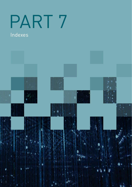# PART 7

# Indexes

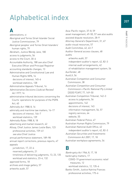# Alphabetical index

## **A**

abbreviations, vi Aboriginal and Torres Strait Islander Social Justice Commissioner, 79 Aboriginal peoples' and Torres Strait Islanders' human rights, 79 Abraham, Justice Wendy Jane, 180 access to judgments, 56 access to the Court, 30–6 Accountable Authority, 188 see also Chief Executive Officer and Principal Registrar accounting standards changes, 13 Administrative and Constitutional Law and Human Rights NPA, 16 decisions of interest, 145–6 workload statistics, 138 Administrative Appeals Tribunal, 16 Administrative Decisions (Judicial Review) Act 1977, 16 administrative tribunal decisions concerning the Courts' operations for purposes of the PGPA Act, 40 Admiralty Act 1988, 8, 16 admiralty and maritime law matters, 16–17 decisions of interest, 146–7 workload statistics, 139 Admiralty Rules 1988, 8, 18 advertising and market research, 42 Allsop, Chief Justice James Leslie Bain, 123 professional activities, 159–61 see also Chief Justice annual performance statement, 189–98 annual report corrections, previous reports, 47 appeals jurisdiction, 17, 22–4 reserved judgments, 21 timeliness of delivering judgments, 13, 23, 135 workload and statistics, 23–4, 132 approved forms, 18 archives and image gallery, 57 artworks audit, 57

Asia–Pacific region, 37–8, 59 asset management, 49–50, 57 see also audits assisted dispute resolution, 28–9 Attorney-General's Department, 31, 67 audio-visual resources, 57 Audit Committee, 42, 43–7 Auditor-General access clauses, 48 audits artworks audit, 57 independent auditor's report, 42, 82–3 internal audit arrangements, 42 of rehabilitation management system, 54 AusTender, 48 AustLII, 56 Australian Competition and Consumer Commission, 38 Australian Competition and Consumer Commission v Pacific National Pty Limited [2020] FCAFC 77, 149–50 Australian Competition Tribunal, 142–3 access to judgments, 56 appointments, 142 decisions of interest, 143 information management, 56, 57 registry services, 64 website, 55 Australian Federal Police, 47 Australian Human Rights Commission, 79 Australian National Audit Office, 42 independent auditor's report, 42, 82–3 Australian Securities and Investments Commission Act 2001, 17, 18 Australian workplace agreements, 54

#### **B**

Bankruptcy Act 1966, 8, 17, 18 bankruptcy matters, 17 COVID-19 government economic relief measures, 12 workload statistics, 12, 135–6 Banks-Smith, Justice Katrina Frances professional activities, 175–6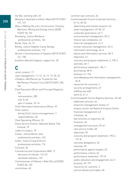the Bar, working with, 35 Bellamy's Australia Limited v Basil [2019] FCAFC 147, 147 Bianco Walling Pty Ltd v Construction, Forestry, Maritime, Mining and Energy Union [2020] FCAFC 50, 152 Bromberg, Justice Mordecai professional activities, 166 Burke, Paul, 26, 74 Burley, Justice Stephen Carey George professional activities, 172 Burton v Commissioner of Taxation [2019] FCAFC 141, 158 bushfire-affected litigants, support for, 30

#### **C**

cartel conduct, 17 case management, 11–12, 16–17, 19, 20, 25 Chhabra v McPherson as Trustee for the McPherson Practice Trust [2019] FCAFC 228, 154 Chief Executive Officer and Principal Registrar, 124 remuneration, 200 role, 8, 40 year in review, 10–14 Chief Information Governance Officer, 57 Chief Justice Acting Chief Justice arrangements, 7 responsibilities, 40 Chief Operating Officers, 53 Client Service Charter, National Native Title tribunal, 79 codes of conduct, 79 Collier, Justice Berna Joan professional activities, 163 Colvin, Justice Craig Grierson professional activities, 176 Comcare, 54 Commercial and Corporations NPA, 17 decisions of interest, 147–52 workload statistics, 139 Commissioner of Patents v Rokt Pte Ltd [2020] FCAFC 86, 155 committees, 40

common law contracts, 54 Commonwealth Courts Corporate Services, 13–14, 40–52 advertising and market research, 42 asset management, 49–50, 57 corporate governance, 42–7 environmental management, 50–2 finance law compliance, 42 financial management, 41-2 human resources management, 53–4 information technology, 54–6 library and information services, 58–9 objectives, 41 outcome and program statement, 3, 190–2 overview, 40–1 performance statement, 196–7 purchasing, 48–8 purpose, 41, 196 recordkeeping and information management, 56–8 resources for outcome, 3 security arrangements, 47 staffing see staff work of, 41–2 Commonwealth Courts Registry Services, 59–68 additional services, 64 enquiries management review, 67 enquiry centre see National Enquiry Centre financial management, 63 initiatives, 66 key functions of registries, 60 locations, 62 management structure, 59–61 new service model, 68 objectives, 59 outcome and program statement, 190–2, 197–8 overseas delegations, 65 overview, 59 performance against targets, 63 performance criteria, 62 performance statement, 197–8 public education and engagement, 64–5 purpose, 59, 197 resources for outcome, 3 service delivery principles, 60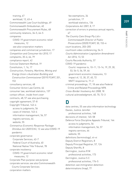209

training, 67 workload, 12, 63–4 Commonwealth Law Court buildings, 49 Commonwealth Ombudsman, 40 Commonwealth Procurement Rules, 48 community relations, 34–5, 64–5 companies COVID-19 government economic relief measures, 12 see also corporation matters companies and commercial jurisdiction, 17 Competition and Consumer Act 2010, 17 complaints, 35–6, 64, 79 compliance report, 42 Concise Statement Method, 19 Constitution, 1, 16, 17 Construction, Forestry, Maritime, Mining and Energy Union v Australian Building and Construction Commissioner [2019] FCAFC 201, 153 consultancy services, 48 Consumer Action Law Centre, 64 consumer law, workload statistics, 137 contact officer, inside front cover contracts, 48, 57 see also purchasing copyright agreement, 57–8 Copyright Tribunal, 143–4 access to judgments, 56 cases of interest, 143–4 information management, 56, 57 registry services, 64 website, 55 Coronavirus Economic Response Package Omnibus Act 2020 (Cth), 12 see also COVID-19 pandemic corporate governance Corporate Services, 42–7 Federal Court of Australia, 40 National Native Title Tribunal, 78 corporate insolvency COVID-19 government economic relief measures, 12 Corporate Plan purpose see purpose corporate services see also Commonwealth Courts Corporate Services corporation matters

fee exemptions, 34 jurisdiction, 17 workload statistics, 136 Corporations Act 2001, 8, 17 correction of errors in previous annual reports, 47 The Country Care Group Pty Ltd v Commonwealth Director of Public Prosecutions [2020] FCAFC 30, 153–4 court locations, 203–205 courtroom video conferencing, 54–5 Courts Administration Legislation Amendment Act 2016, 13, 53 Courts Records Authority, 57 COVID-19 pandemic Courts' response to, 10–11, 13–14, 19, 29, 30, 53, 54–5, 56, 59, 66 government economic measures, 13 impact of, 12, 30, 37, 65, 72 NNTT response to, 71–2 criminal proceedings, 17, 18 see also Federal Crime and Related Proceedings NPA Cross-Border Insolvency Act 2008, 18 cultural acknowledgment, 60, 70, 72–3

# **D**

data centres, 55 see also information technology Davies, Justice Jennifer professional activities, 168 decisions of interest, 145–58 Defence Force Discipline Appeals Tribunal, 144 access to judgments, 56 information management, 56, 57 registry services, 64 website, 55 definitions (terminology), vii–xi Deputy District Registrars, 8 Deputy Principal Registrar, 57, 124 Deputy Sheriffs, 8 Derrington, Justice R M professional activities, 173 Derrington, Justice S C professional activities, 174–5 detention see immigration detention determinations (map), 77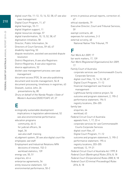digital court file, 11–12, 13, 14, 52, 58, 67 see also case management Digital Court Program, 11, 67 digital hearings, 10–11 digital litigation support, 11 digital resources storage, 57 digital transformation, 10, 13, 52, 58, 67 digitisation initiatives, 58 Director, Public Information, 34 Directors of Court Services, 59–60, 67 disability reporting, 53 dispute resolution, assisted see assisted dispute resolution District Registrars, 8 see also Registrars District Registries, 8 see also registries divorce applications, 52 docket case management process see case management document access (FOI), 34 see also publishing document and records management, 56–8 document processing, timeliness in registries, 63 Dowsett, Justice John, 26 presentations by, 80 Drury on behalf of the Nanda People v State of Western Australia [2020] FCAFC 69, 27

# **E**

ecologically sustainable development implications in legislation administered, 52 see also environmental performance education programs community, 64–5 for judicial officers, 36 legal, 36 see also staff: training eLodgment system, 30 see also digital court file employees see staff Employment and Industrial Relations NPA decisions of interest, 152–3 workload statistics, 139 energy use, 50, 51 enquiries, 63–4 enterprise agreements, 54 entity resource statement, 122 environmental performance, 50–2

errors in previous annual reports, correction of, 47 ethical standards, 79 Executive Director, Court and Tribunal Services, 59 exempt contracts, 48 expenses for outcomes, 2–3 external scrutiny, 40 National Native Title Tribunal, 79

# **F**

Fair Work Act 2009, 17 fair work matters, 17, 139 Fair Work (Registered Organisations) Act 2009, 17 Family Court of Australia corporate services see Commonwealth Courts Corporate Services digital court files, 13, 14, 52, 58, 67 Digital Court Program, 11–12 financial management see financial management Lighthouse family violence project, 56 outcome and program statement, 2, 190–2 performance statement, 194–5 registry locations, 204–205 family law enquiries, 64 workload, 63 Federal Circuit Court of Australia appeals from, 1, 17, 22–4 corporate services for see Commonwealth Courts Corporate Services digital court files, 67 Digital Court Program, 11–12 outcome and program statement, 3, 190–2 performance statement, 195–6 registry locations, 203–205 workload, 12, 19–21 Federal Circuit Court of Australia Act 1999, 8 Federal Court (Bankruptcy) Rules 2016, 8, 18 Federal Court (Corporations) Rules 2000, 8, 18 Federal Court (Criminal Proceedings) Rules 2016, 8, 18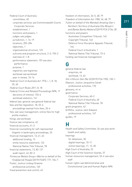Federal Court of Australia committees, 40 corporate services see Commonwealth Courts Corporate Services establishment, 1 functions and powers, 1 judges see judges jurisdiction, 1, 16–19 locations, 203–204 objectives, 1 organisational structure, 123 outcome and program structure, 2–3, 190–2 overview of, 1–8 performance statement, 193 see also performance purpose, 1 registries see registries workload see workload year in review, 10–14 Federal Court of Australia Act 1976, i, 1, 8, 18, 25, 40 Federal Court Rules 2011, 8, 18 Federal Crime and Related Proceedings NPA, 17 decisions of interest, 153–4 workload statistics, 141 federal law, general see general federal law fees and fee regulation, 18, 33–4 proceedings exempt from fees, 33–4 files see case management; online files for high profile matters filings see workload finance law compliance, 42 financial accounts, 41–2 financial counselling for self-represented litigants in bankruptcy proceedings, 33 financial management, 13, 41, 63 additional funding, 13 entity resource statement, 122 National Native Title Tribunal, 78 financial statements, 13, 82–121 audit report, 42, 82–3 Fortescue Metals Group v Warrie on behalf of the Yindjibarndi People [2019] FCAFC 177, 156–7 Foster, Justice Lindsay Graeme professional activities, 165 fraud prevention and control, 42

freedom of information, 34–5, 48, 79 Freedom of Information Act 1982, 34, 48, 79 Fulton on behalf of the Mambali Amaling-Gan v Northern Territory of Australia (the Minyerri and Banka Banka Matters) [2019] FCA 2156, 28 functions and powers Australian Competition Tribunal, 142 Copyright Tribunal, 143 Defence Force Discipline Appeals Tribunal, 144 Federal Court of Australia, 1 National Native Title Tribunal, 73–4 funding see financial management

#### **G**

general federal law enquiries, 64 workload, 12, 63 Gill v Ethicon Sàrl (No 5) [2019] FCA 1905, 150–1 Gleeson, Justice Jacqueline Sarah professional activities, 170 glossary, vii–xi governance Corporate Services, 40–2 Federal Court of Australia, 40 National Native Title Tribunal, 78 grant programs, 42 Griffiths, Justice John Edward professional activities, 167 guides, 19

#### **H**

Health and Safety Committee, 54 see also work health and safety hearings for detainees, 30 digital hearings, 10–11 online hearings, 11, 13, 30 High Court of Australia, 22 High Court of the Solomon Islands, 37 human resources management, 53–4 see also staff human rights see Administrative and Constitutional Law and Human Rights NPA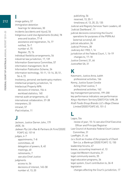# **I** image gallery, 57

immigration detention hearings for detainees, 30 incidents (accidents and injury), 54 Indigenous Land Use Agreements (ILUAs), 78 area and location, 77–8 assistance and registration, 76, 77 notified, 76–7 number of, 75 Register, 75, 76 individual flexibility arrangements, 54 industrial law jurisdiction, 17, 139 Information Governance Committee, 57 information management, 56–8 Information Publication Scheme, 34 information technology, 10–11, 13–14, 30, 51, 54–6, 72 insolvency, personal see bankruptcy matters intellectual property jurisdiction, 16 Intellectual Property NPA decisions of interest, 154–6 workload statistics, 140 internal audit arrangements, 42 international collaboration, 37–38 interpreters, 33 intranet, 57 iPad initiative, 11

# **J**

Jackson, Justice Darren John, 179 JADE, 56 Jadwan Pty Ltd v Rae & Partners (A Firm) [2020] FCAFC 62, 157–8 judges, 4–7 appointments, 7–8 committees, 40 delegation of powers, 8, 40 meetings, 40 retirements, 7 see also Chief Justice judgments access to, 56 decisions of interest, 145–58 number of, 13, 20

publishing, 56 reserved, 13, 20–1 timeliness of, 13, 20, 23, 135 Judicial and Registry Services Team Leaders, 60 'Judicial Dashboard', 11 judicial decisions concerning the Courts' operations for purposes of the PGPA Act (external scrutiny), 40 judicial education, 36 Judicial Primers, 38 Judiciary Act 1903, 1, 16 jurisdiction of the Federal Court, 1, 16–19 changes to, 17–18 Justice Connect, 31, 64 JusticeNet SA, 31

# **K**

Katzmann, Justice Anna Judith professional activities, 166 Kenny, Justice Susan Coralie Acting Chief Justice, 7 professional activities, 162 key management personnel, 199–200 key performance indicators see performance King v Northern Territory [2007] FCA 1498, 28 Kraft Foods Group Brands LLC v Bega Cheese Limited [2020] FCAFC 65, 151–2

# **L**

Lagos, Sia review of year, 10–14 see also Chief Executive Officer and Principal Registrar Law Council of Australia Federal Court Liaison Committee, 31 LawRight, 31, 64 Le v Scott as trustee of the property of Chanh Tam Le, a Bankrupt [2020] FCAFC 12, 150 leadership forums, 67 leases, accounting treatment of, 13 Legal Aid Western Australia, 31 legal community events, 35 legal education programs, 36 legal system, Court contribution to, 36–8 legislation changes affecting the Court's jurisdiction, 17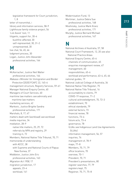legislative framework for Court jurisdiction, 1, 8 letter of transmittal, i library and information services, 58–9 Lighthouse family violence project, 56 'List Assist' tool, 11 litigants, support for, 30–4 bushfire-affected, 30 self-represented, 30, 31–2 unrepresented, 30 live chat, 56, 65, 66 lodgment process, 30 Logan, Justice John Alexander professional activities, 164

#### **M**

McKerracher, Justice Neil Walter professional activities, 164 Makasa v Minister for Immigration and Border Protection [2020] FCAFC 22, 145–6 management structure, Registry Services, 59–61 Manager National Enquiry Centre, 60 Managers of Court Services, 60 maritime law matters see admiralty and maritime law matters marketing services, 42 Markovic, Justice Brigitte Sandra professional activities, 171 Marshals, 8, 17, 47 matters dealt with (workload) see workload media inquiries, 34 mediation, 28–9 native title matters, 25, 29, 72 referrals by NPA and registry, 29 training in, 72 Members, National Native Title Tribunal, 70, 71 memoranda of understanding with ACCC, 38 with Supreme and National Courts of Papua New Guinea, 37 Middleton, Justice John Eric professional activities, 163 Migration Act 1958, 17 migration jurisdiction, 17 appeals, 23–4 workload, 141

Modernisation Fund, 13 Mortimer, Justice Debra Sue professional activities, 168 Moshinsky, Justice Mark Kranz professional activities, 171 Murphy, Justice Bernard Michael professional activities, 167

#### **N**

National Archives of Australia, 57, 58 National Court Framework, 12, 20 see also National Practice Areas National Enquiry Centre, 65–6 channels of communication, 65 enquiries management review, 67 management, 60 responsibilities, 65–6 workload and performance, 63–4, 65, 66 national guides, 19 National Judicial College of Australia, 36 National Native Title Register, 75 National Native Title Tribunal, 16 accountability to clients, 79 COVID-19 response, 71–2 cultural acknowledgment, 70, 72–3 establishment, 70 ethical standards, 79 external factors, 73 financial review, 78 functions, 73–4 future acts, 73–4 governance, 78 ILUAs see Indigenous Land Use Agreements (ILUAs) information management, 56, 57 inquiries, 74 management of, 78–9 maps, 77–8 Members, 70, 71, 79 office locations, 70 overview, 70–1 President, 70, 71 President's presentations, 80 register searches, 77, 79 registers kept, 75 Registrar, 70, 71, 75–8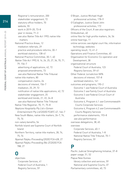Registrar's remuneration, 200 stakeholder engagement, 72 statutory office-holders, 70 website, 55 work in 2019–20, 73–8 year in review, 71–3 see also Native Title Act 1993; native title matters National Practice Areas, 12 mediation referrals, 29 practice and procedure reforms, 30–1 workload statistics, 138–41 National Practice Committee, 30–1, 40 Native Title Act 1993, 8, 16, 24, 25, 27, 34, 70, 71, 79, 156–7 advertising of applications, 42, 72 proposed amendments, 73 see also National Native Title Tribunal native title matters, 80 compensation claims, 24 decisions of interest, 156–7 mediation, 25, 29, 72 notification of native title applications, 42, 72 stakeholder engagement, 25 workload and trends, 21, 22, 24–8 see also National Native Title Tribunal Native Title Registrar, 70, 71, 75–8 Neptune Hospitality Pty Ltd v Ozmen Entertainment Pty Ltd [2020] FCAFC 47, 146–7 New South Wales, native title matters, 26–7, 74, 75, 76 non-salary benefits, 54 Norfolk Island see Supreme Court of Norfolk Island Northern Territory, native title matters, 28, 74, 75, 76 Nyamal Palyku Proceeding [2020] FCA 428, 27 Nyamal Palyku Proceeding (No 2) [2020] FCA 788, 27

#### **O**

objectives Corporate Services, 41 Federal Court of Australia, 1 Registry Services, 59

O'Bryan, Justice Michael Hugh professional activities, 178–9 O'Callaghan, Justice David John professional activities, 172 Officers of the Court, 8 see also registrars Ombudsman, 40 online files for high profile matters, 34, 56 online hearings, 11 online services see digital court file; information technology; websites operating result, 13, 41–2 Operations and Finance Committee, 40 Organisation for Economic Co-operation and Development, 38 organisational structure Federal Court of Australia, 123 Registry Services, 59–61 Other Federal Jurisdiction NPA decisions of interest, 157–8 workload statistics, 141 outcomes and programs, 190–2 Outcome 1 see Federal Court of Australia Outcome 2 see Family Court of Australia Outcome 3 see Federal Circuit Court of Australia Outcome 4, Program 4.1 see Commonwealth Courts Corporate Services Outcome 4, Program 4.2 see Commonwealth Courts Registry Services performance statements, 193–8 see also performance overseas delegations, 38, 65 overview Corporate Services, 40–1 Federal Court of Australia, 1–8 National Native Title Tribunal, 70–1 Registry Services, 59

#### **P**

Pacific Judicial Strengthening Initiative, 37–8 paper usage, 51, 52 Papua New Guinea library collection and services, 59 National and Supreme Courts, 37 Parliamentary committees, 40, 73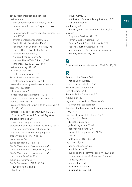pay see remuneration and benefits performance annual performance statement, 189–98 Commonwealth Courts Corporate Services, 196–7 Commonwealth Courts Registry Services, 62, 63, 197–8 environmental management, 50–2 Family Court of Australia, 194–5 Federal Circuit Court of Australia, 195–6 Federal Court of Australia, 16, 193 financial management, 41–2 National Enquiry Centre, 66 National Native Title Tribunal, 73–8 timeliness, 13, 20, 23, 63, 134–5 performance pay, 54, 188 Perram, Justice Nye professional activities, 165 Perry, Justice Melissa Anne professional activities, 169–70 personal insolvency see bankruptcy matters personnel see staff police services, 47 Portfolio Budget Statements, 190–2 practice areas see National Practice Areas practice notes, 18–19 President, National Native Title Tribunal, 54, 70, 71, 80, 200 Principal Registrar, Federal Court see Chief Executive Officer and Principal Registrar pro bono schemes, 30 procurement see purchasing professional activities (judges' activities), 159–80 see also international collaboration programs see outcomes and programs property projects, 14, 49–50, 52 pseudonyms, 30 public education, 34–5, 64–5 Public Governance, Performance and Accountability Act 2013, i, 40, 42, 48, 53 Public Governance, Performance and Accountability Rule 2014, i public interest issues, 17 Public Service Act 1999, 8, 40, 53 s24 determinations, 54 publishing, 56

of judgments, 56 notification of native title applications, 42, 72 see also websites purchasing, 48–9 library system consortium purchasing, 59 purpose Corporate Services, 41, 196 Family Court of Australia, 194 Federal Circuit Court of Australia, 195 Federal Court of Australia, 1, 193 and outcomes, 192 see also performance Registry Services, 59, 197

#### **Q**

Queensland, native title matters, 25–6, 74, 75, 76

## **R**

Rares, Justice Steven David Acting Chief Justice, 7 professional activities, 162 Reconciliation Action Plan, 72 recordkeeping, 56–8 Records Policy Committee, 57 recycling, 50, 52 regional collaborations, 37–8 see also international collaboration Register of Indigenous Land Use Agreements, 16, 75, 76 Register of Native Title Claims, 75–6 registrars, 12, 124–8 district registrars, 8 judicial registrars, 124–7 national registrars, 128 Native Title Registrar, 70, 71, 75–8 role, 8 of tribunals, 142, 143, 144 registries, 19, 40 additional services, 64 administration, 53 buildings and accommodation, 49–50, 52, 55 counter enquiries, 63–4 see also National Enquiry Centre key functions, 60 local consultation, 64 locations, 62, 203–205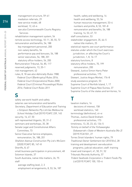management structure, 59–61 mediation referrals, 29 new service model, 68 workload, 12, 63–4 see also Commonwealth Courts Registry Services rehabilitation management system, 54 remote access technology, 10–11, 30, 55, 72 remuneration and benefits, 54, 188 key management personnel, 200 non-salary benefits, 54 performance pay and bonuses, 54, 188 senior executives, 54, 188, 201 statutory office-holders, 54, 200 Remuneration Tribunal, 54, 85, 117 reserved judgments, 13, 20–1 risk management, 42 rules, 8, 18 see also Admiralty Rules 1988; Federal Court (Bankruptcy) Rules 2016; Federal Court (Corporations) Rules 2000; Federal Court (Criminal Proceedings) Rules 2016; Federal Court Rules 2011

#### **S**

safety see work health and safety salaries see remuneration and benefits Secretary, Department of Education and Training v Simpson Networks Pty Ltd t/as Melbourne School Holiday Club [2019] FCAFC 239, 145 security, 14, 47, 50 self-represented litigants, 30, 31–2 seminars and workshops, 35, 38 Senate Legal and Constitutional Affairs Committee, 73 Senior Executive Service employees, remuneration, 54, 188, 201 Shafston Avenue Construction Pty Ltd v McCann [2020] FCAFC 85, 147–8 Sheriffs, 8, 47 small business participation in procurement, 48 Solomon Islands, 37 South Australia, native title matters, 26, 75 staff average staffing level, 2, 3 employment arrangements, 8, 53, 54, 187

health, safety and wellbeing, 14 health and wellbeing, 53, 54 human resources management, 53–4 numbers and profile, 8, 53, 181–8 remuneration and benefits, 54, 188 training, 14, 53, 67, 72 staff consultation, 53 stakeholder engagement, 35, 64–5 native title matters, 25 statistical reports see court performance statutes under which the Court exercises jurisdiction, or affecting the Court's jurisdiction, 1, 8, 16–17 statutory functions, 8 statutory office-holders, 70, 199 remuneration, 200 Steward, Justice Simon Harry Peter professional activities, 175 Stewart, Justice Angus Morkel, 176–8 study assistance program, 53 Supreme Court of Norfolk Island, 1, 17 Supreme Court of Papua New Guinea, 37 Supreme Courts of the states and territories, 16

# **T**

taxation matters, 16 decisions of interest, 158 workload statistics, 140 terminology (definitions), vii–xi Thomas, Justice David Graham professional activities, 173 timeliness, 13, 20, 23, 63, 134–5 Tommy on behalf of the Yinhawangka Gobawarrah v State of Western Australia (No 2) [2019] FCA1551, 27 Torres Strait Islanders' human rights, 79 Traditional Owner Settlement Act 2010 (Vic), 28 training and development see education programs; judicial education; staff: training travel and transport, 41, 50, 51, 52 Tribunals Records Authority, 57 Trident Seafoods Corporation v Trident Foods Pty Ltd [2019] FCAFC 100, 155–6